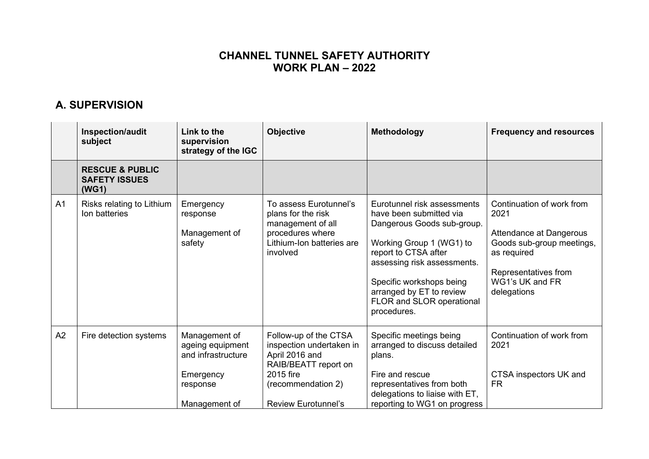### **CHANNEL TUNNEL SAFETY AUTHORITY WORK PLAN – 2022**

## **A. SUPERVISION**

|                | Inspection/audit<br>subject                                 | Link to the<br>supervision<br>strategy of the IGC                                                 | <b>Objective</b>                                                                                                                                             | <b>Methodology</b>                                                                                                                                                                                                                                                          | <b>Frequency and resources</b>                                                                                                                                     |
|----------------|-------------------------------------------------------------|---------------------------------------------------------------------------------------------------|--------------------------------------------------------------------------------------------------------------------------------------------------------------|-----------------------------------------------------------------------------------------------------------------------------------------------------------------------------------------------------------------------------------------------------------------------------|--------------------------------------------------------------------------------------------------------------------------------------------------------------------|
|                | <b>RESCUE &amp; PUBLIC</b><br><b>SAFETY ISSUES</b><br>(WG1) |                                                                                                   |                                                                                                                                                              |                                                                                                                                                                                                                                                                             |                                                                                                                                                                    |
| A <sub>1</sub> | Risks relating to Lithium<br>Ion batteries                  | Emergency<br>response<br>Management of<br>safety                                                  | To assess Eurotunnel's<br>plans for the risk<br>management of all<br>procedures where<br>Lithium-Ion batteries are<br>involved                               | Eurotunnel risk assessments<br>have been submitted via<br>Dangerous Goods sub-group.<br>Working Group 1 (WG1) to<br>report to CTSA after<br>assessing risk assessments.<br>Specific workshops being<br>arranged by ET to review<br>FLOR and SLOR operational<br>procedures. | Continuation of work from<br>2021<br>Attendance at Dangerous<br>Goods sub-group meetings,<br>as required<br>Representatives from<br>WG1's UK and FR<br>delegations |
| A2             | Fire detection systems                                      | Management of<br>ageing equipment<br>and infrastructure<br>Emergency<br>response<br>Management of | Follow-up of the CTSA<br>inspection undertaken in<br>April 2016 and<br>RAIB/BEATT report on<br>2015 fire<br>(recommendation 2)<br><b>Review Eurotunnel's</b> | Specific meetings being<br>arranged to discuss detailed<br>plans.<br>Fire and rescue<br>representatives from both<br>delegations to liaise with ET,<br>reporting to WG1 on progress                                                                                         | Continuation of work from<br>2021<br>CTSA inspectors UK and<br><b>FR</b>                                                                                           |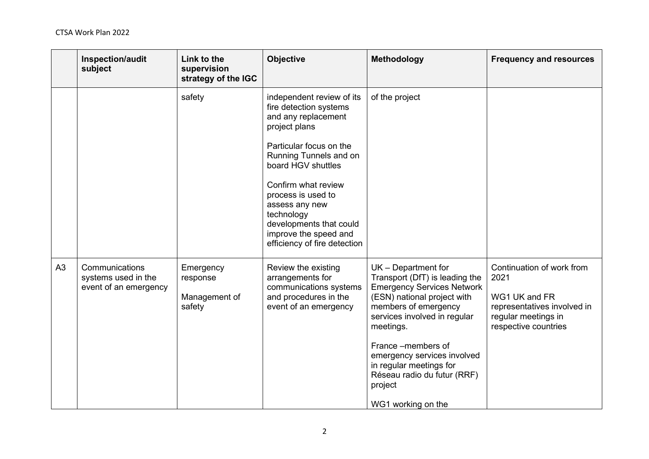|    | Inspection/audit<br>subject                                    | Link to the<br>supervision<br>strategy of the IGC | <b>Objective</b>                                                                                                                                                                                                                                                                                                                        | Methodology                                                                                                                                                                                                                                                                                                                                      | <b>Frequency and resources</b>                                                                                                   |
|----|----------------------------------------------------------------|---------------------------------------------------|-----------------------------------------------------------------------------------------------------------------------------------------------------------------------------------------------------------------------------------------------------------------------------------------------------------------------------------------|--------------------------------------------------------------------------------------------------------------------------------------------------------------------------------------------------------------------------------------------------------------------------------------------------------------------------------------------------|----------------------------------------------------------------------------------------------------------------------------------|
|    |                                                                | safety                                            | independent review of its<br>fire detection systems<br>and any replacement<br>project plans<br>Particular focus on the<br>Running Tunnels and on<br>board HGV shuttles<br>Confirm what review<br>process is used to<br>assess any new<br>technology<br>developments that could<br>improve the speed and<br>efficiency of fire detection | of the project                                                                                                                                                                                                                                                                                                                                   |                                                                                                                                  |
| A3 | Communications<br>systems used in the<br>event of an emergency | Emergency<br>response<br>Management of<br>safety  | Review the existing<br>arrangements for<br>communications systems<br>and procedures in the<br>event of an emergency                                                                                                                                                                                                                     | $UK - Department for$<br>Transport (DfT) is leading the<br><b>Emergency Services Network</b><br>(ESN) national project with<br>members of emergency<br>services involved in regular<br>meetings.<br>France –members of<br>emergency services involved<br>in regular meetings for<br>Réseau radio du futur (RRF)<br>project<br>WG1 working on the | Continuation of work from<br>2021<br>WG1 UK and FR<br>representatives involved in<br>regular meetings in<br>respective countries |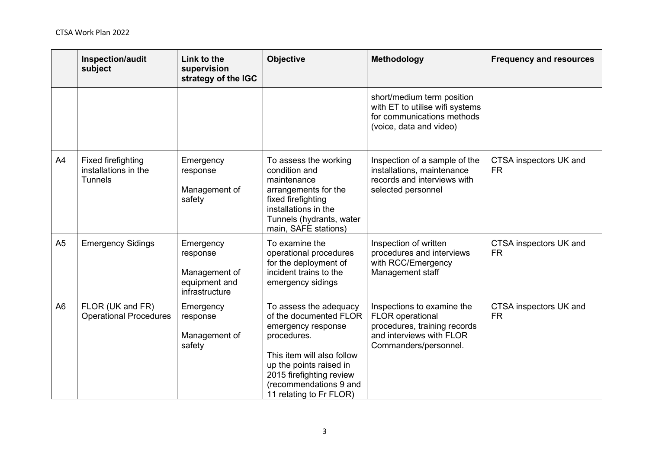|                | Inspection/audit<br>subject                                         | Link to the<br>supervision<br>strategy of the IGC                         | <b>Objective</b>                                                                                                                                                                                                                | <b>Methodology</b>                                                                                                                         | <b>Frequency and resources</b>      |
|----------------|---------------------------------------------------------------------|---------------------------------------------------------------------------|---------------------------------------------------------------------------------------------------------------------------------------------------------------------------------------------------------------------------------|--------------------------------------------------------------------------------------------------------------------------------------------|-------------------------------------|
|                |                                                                     |                                                                           |                                                                                                                                                                                                                                 | short/medium term position<br>with ET to utilise wifi systems<br>for communications methods<br>(voice, data and video)                     |                                     |
| A4             | <b>Fixed firefighting</b><br>installations in the<br><b>Tunnels</b> | Emergency<br>response<br>Management of<br>safety                          | To assess the working<br>condition and<br>maintenance<br>arrangements for the<br>fixed firefighting<br>installations in the<br>Tunnels (hydrants, water<br>main, SAFE stations)                                                 | Inspection of a sample of the<br>installations, maintenance<br>records and interviews with<br>selected personnel                           | CTSA inspectors UK and<br><b>FR</b> |
| A <sub>5</sub> | <b>Emergency Sidings</b>                                            | Emergency<br>response<br>Management of<br>equipment and<br>infrastructure | To examine the<br>operational procedures<br>for the deployment of<br>incident trains to the<br>emergency sidings                                                                                                                | Inspection of written<br>procedures and interviews<br>with RCC/Emergency<br>Management staff                                               | CTSA inspectors UK and<br><b>FR</b> |
| A <sub>6</sub> | FLOR (UK and FR)<br><b>Operational Procedures</b>                   | Emergency<br>response<br>Management of<br>safety                          | To assess the adequacy<br>of the documented FLOR<br>emergency response<br>procedures.<br>This item will also follow<br>up the points raised in<br>2015 firefighting review<br>(recommendations 9 and<br>11 relating to Fr FLOR) | Inspections to examine the<br><b>FLOR</b> operational<br>procedures, training records<br>and interviews with FLOR<br>Commanders/personnel. | CTSA inspectors UK and<br><b>FR</b> |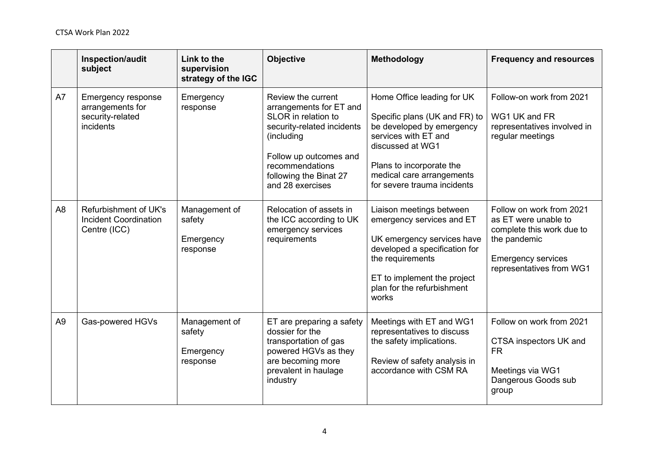|                | Inspection/audit<br>subject                                                    | Link to the<br>supervision<br>strategy of the IGC | <b>Objective</b>                                                                                                                                                                                            | Methodology                                                                                                                                                                                                                  | <b>Frequency and resources</b>                                                                                                                         |
|----------------|--------------------------------------------------------------------------------|---------------------------------------------------|-------------------------------------------------------------------------------------------------------------------------------------------------------------------------------------------------------------|------------------------------------------------------------------------------------------------------------------------------------------------------------------------------------------------------------------------------|--------------------------------------------------------------------------------------------------------------------------------------------------------|
| A7             | <b>Emergency response</b><br>arrangements for<br>security-related<br>incidents | Emergency<br>response                             | Review the current<br>arrangements for ET and<br>SLOR in relation to<br>security-related incidents<br>(including<br>Follow up outcomes and<br>recommendations<br>following the Binat 27<br>and 28 exercises | Home Office leading for UK<br>Specific plans (UK and FR) to<br>be developed by emergency<br>services with ET and<br>discussed at WG1<br>Plans to incorporate the<br>medical care arrangements<br>for severe trauma incidents | Follow-on work from 2021<br>WG1 UK and FR<br>representatives involved in<br>regular meetings                                                           |
| A <sub>8</sub> | Refurbishment of UK's<br><b>Incident Coordination</b><br>Centre (ICC)          | Management of<br>safety<br>Emergency<br>response  | Relocation of assets in<br>the ICC according to UK<br>emergency services<br>requirements                                                                                                                    | Liaison meetings between<br>emergency services and ET<br>UK emergency services have<br>developed a specification for<br>the requirements<br>ET to implement the project<br>plan for the refurbishment<br>works               | Follow on work from 2021<br>as ET were unable to<br>complete this work due to<br>the pandemic<br><b>Emergency services</b><br>representatives from WG1 |
| A <sub>9</sub> | Gas-powered HGVs                                                               | Management of<br>safety<br>Emergency<br>response  | ET are preparing a safety<br>dossier for the<br>transportation of gas<br>powered HGVs as they<br>are becoming more<br>prevalent in haulage<br>industry                                                      | Meetings with ET and WG1<br>representatives to discuss<br>the safety implications.<br>Review of safety analysis in<br>accordance with CSM RA                                                                                 | Follow on work from 2021<br>CTSA inspectors UK and<br><b>FR</b><br>Meetings via WG1<br>Dangerous Goods sub<br>group                                    |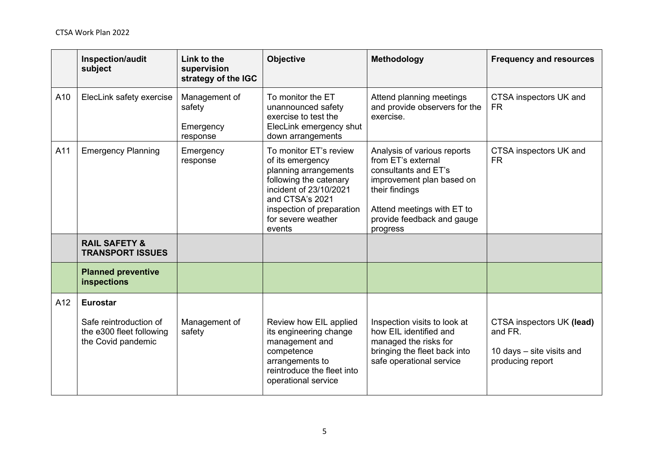|     | Inspection/audit<br>subject                                                                 | Link to the<br>supervision<br>strategy of the IGC | <b>Objective</b>                                                                                                                                                                                        | Methodology                                                                                                                                                                                      | <b>Frequency and resources</b>                                                        |
|-----|---------------------------------------------------------------------------------------------|---------------------------------------------------|---------------------------------------------------------------------------------------------------------------------------------------------------------------------------------------------------------|--------------------------------------------------------------------------------------------------------------------------------------------------------------------------------------------------|---------------------------------------------------------------------------------------|
| A10 | ElecLink safety exercise                                                                    | Management of<br>safety<br>Emergency<br>response  | To monitor the ET<br>unannounced safety<br>exercise to test the<br>ElecLink emergency shut<br>down arrangements                                                                                         | Attend planning meetings<br>and provide observers for the<br>exercise.                                                                                                                           | CTSA inspectors UK and<br><b>FR</b>                                                   |
| A11 | <b>Emergency Planning</b>                                                                   | Emergency<br>response                             | To monitor ET's review<br>of its emergency<br>planning arrangements<br>following the catenary<br>incident of 23/10/2021<br>and CTSA's 2021<br>inspection of preparation<br>for severe weather<br>events | Analysis of various reports<br>from ET's external<br>consultants and ET's<br>improvement plan based on<br>their findings<br>Attend meetings with ET to<br>provide feedback and gauge<br>progress | CTSA inspectors UK and<br><b>FR</b>                                                   |
|     | <b>RAIL SAFETY &amp;</b><br><b>TRANSPORT ISSUES</b>                                         |                                                   |                                                                                                                                                                                                         |                                                                                                                                                                                                  |                                                                                       |
|     | <b>Planned preventive</b><br>inspections                                                    |                                                   |                                                                                                                                                                                                         |                                                                                                                                                                                                  |                                                                                       |
| A12 | <b>Eurostar</b><br>Safe reintroduction of<br>the e300 fleet following<br>the Covid pandemic | Management of<br>safety                           | Review how EIL applied<br>its engineering change<br>management and<br>competence<br>arrangements to<br>reintroduce the fleet into<br>operational service                                                | Inspection visits to look at<br>how EIL identified and<br>managed the risks for<br>bringing the fleet back into<br>safe operational service                                                      | CTSA inspectors UK (lead)<br>and FR.<br>10 days - site visits and<br>producing report |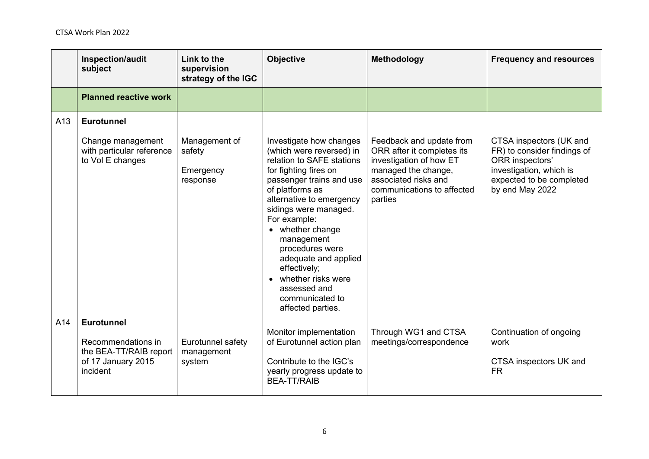|     | Inspection/audit<br>subject                                                    | Link to the<br>supervision<br>strategy of the IGC | <b>Objective</b>                                                                                                                                                                                                                                                                                                                                                                                           | Methodology                                                                                                                                                               | <b>Frequency and resources</b>                                                                                                                      |
|-----|--------------------------------------------------------------------------------|---------------------------------------------------|------------------------------------------------------------------------------------------------------------------------------------------------------------------------------------------------------------------------------------------------------------------------------------------------------------------------------------------------------------------------------------------------------------|---------------------------------------------------------------------------------------------------------------------------------------------------------------------------|-----------------------------------------------------------------------------------------------------------------------------------------------------|
|     | <b>Planned reactive work</b>                                                   |                                                   |                                                                                                                                                                                                                                                                                                                                                                                                            |                                                                                                                                                                           |                                                                                                                                                     |
| A13 | <b>Eurotunnel</b>                                                              |                                                   |                                                                                                                                                                                                                                                                                                                                                                                                            |                                                                                                                                                                           |                                                                                                                                                     |
|     | Change management<br>with particular reference<br>to Vol E changes             | Management of<br>safety<br>Emergency<br>response  | Investigate how changes<br>(which were reversed) in<br>relation to SAFE stations<br>for fighting fires on<br>passenger trains and use<br>of platforms as<br>alternative to emergency<br>sidings were managed.<br>For example:<br>• whether change<br>management<br>procedures were<br>adequate and applied<br>effectively;<br>• whether risks were<br>assessed and<br>communicated to<br>affected parties. | Feedback and update from<br>ORR after it completes its<br>investigation of how ET<br>managed the change,<br>associated risks and<br>communications to affected<br>parties | CTSA inspectors (UK and<br>FR) to consider findings of<br>ORR inspectors'<br>investigation, which is<br>expected to be completed<br>by end May 2022 |
| A14 | <b>Eurotunnel</b>                                                              |                                                   |                                                                                                                                                                                                                                                                                                                                                                                                            |                                                                                                                                                                           |                                                                                                                                                     |
|     | Recommendations in<br>the BEA-TT/RAIB report<br>of 17 January 2015<br>incident | Eurotunnel safety<br>management<br>system         | Monitor implementation<br>of Eurotunnel action plan<br>Contribute to the IGC's<br>yearly progress update to<br><b>BEA-TT/RAIB</b>                                                                                                                                                                                                                                                                          | Through WG1 and CTSA<br>meetings/correspondence                                                                                                                           | Continuation of ongoing<br>work<br>CTSA inspectors UK and<br><b>FR</b>                                                                              |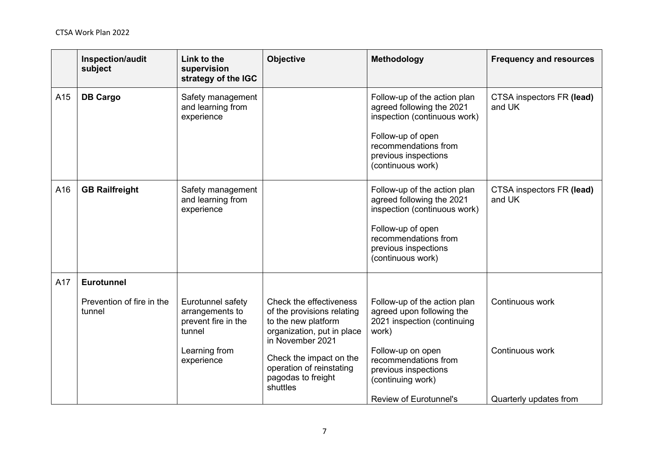|     | Inspection/audit<br>subject                              | Link to the<br>supervision<br>strategy of the IGC                                                    | Objective                                                                                                                                                                                                               | Methodology                                                                                                                                                                                                                  | <b>Frequency and resources</b>                               |
|-----|----------------------------------------------------------|------------------------------------------------------------------------------------------------------|-------------------------------------------------------------------------------------------------------------------------------------------------------------------------------------------------------------------------|------------------------------------------------------------------------------------------------------------------------------------------------------------------------------------------------------------------------------|--------------------------------------------------------------|
| A15 | <b>DB Cargo</b>                                          | Safety management<br>and learning from<br>experience                                                 |                                                                                                                                                                                                                         | Follow-up of the action plan<br>agreed following the 2021<br>inspection (continuous work)<br>Follow-up of open<br>recommendations from<br>previous inspections<br>(continuous work)                                          | CTSA inspectors FR (lead)<br>and UK                          |
| A16 | <b>GB Railfreight</b>                                    | Safety management<br>and learning from<br>experience                                                 |                                                                                                                                                                                                                         | Follow-up of the action plan<br>agreed following the 2021<br>inspection (continuous work)<br>Follow-up of open<br>recommendations from<br>previous inspections<br>(continuous work)                                          | CTSA inspectors FR (lead)<br>and UK                          |
| A17 | <b>Eurotunnel</b><br>Prevention of fire in the<br>tunnel | Eurotunnel safety<br>arrangements to<br>prevent fire in the<br>tunnel<br>Learning from<br>experience | Check the effectiveness<br>of the provisions relating<br>to the new platform<br>organization, put in place<br>in November 2021<br>Check the impact on the<br>operation of reinstating<br>pagodas to freight<br>shuttles | Follow-up of the action plan<br>agreed upon following the<br>2021 inspection (continuing<br>work)<br>Follow-up on open<br>recommendations from<br>previous inspections<br>(continuing work)<br><b>Review of Eurotunnel's</b> | Continuous work<br>Continuous work<br>Quarterly updates from |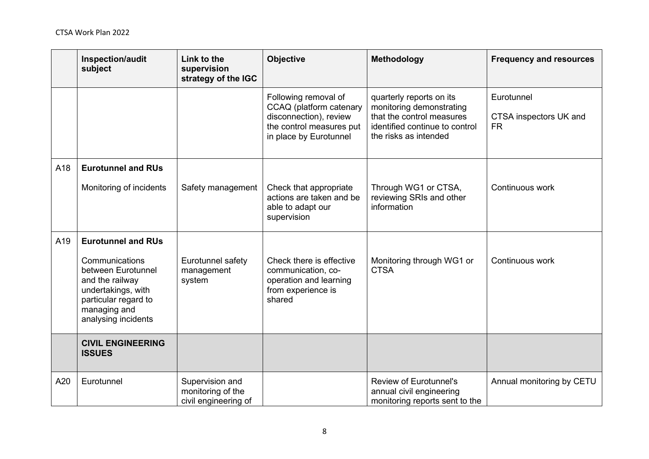|     | Inspection/audit<br>subject                                                                                                                  | Link to the<br>supervision<br>strategy of the IGC            | Objective                                                                                                                       | Methodology                                                                                                                                  | <b>Frequency and resources</b>                    |
|-----|----------------------------------------------------------------------------------------------------------------------------------------------|--------------------------------------------------------------|---------------------------------------------------------------------------------------------------------------------------------|----------------------------------------------------------------------------------------------------------------------------------------------|---------------------------------------------------|
|     |                                                                                                                                              |                                                              | Following removal of<br>CCAQ (platform catenary<br>disconnection), review<br>the control measures put<br>in place by Eurotunnel | quarterly reports on its<br>monitoring demonstrating<br>that the control measures<br>identified continue to control<br>the risks as intended | Eurotunnel<br>CTSA inspectors UK and<br><b>FR</b> |
| A18 | <b>Eurotunnel and RUs</b>                                                                                                                    |                                                              |                                                                                                                                 |                                                                                                                                              |                                                   |
|     | Monitoring of incidents                                                                                                                      | Safety management                                            | Check that appropriate<br>actions are taken and be<br>able to adapt our<br>supervision                                          | Through WG1 or CTSA,<br>reviewing SRIs and other<br>information                                                                              | Continuous work                                   |
| A19 | <b>Eurotunnel and RUs</b>                                                                                                                    |                                                              |                                                                                                                                 |                                                                                                                                              |                                                   |
|     | Communications<br>between Eurotunnel<br>and the railway<br>undertakings, with<br>particular regard to<br>managing and<br>analysing incidents | Eurotunnel safety<br>management<br>system                    | Check there is effective<br>communication, co-<br>operation and learning<br>from experience is<br>shared                        | Monitoring through WG1 or<br><b>CTSA</b>                                                                                                     | Continuous work                                   |
|     | <b>CIVIL ENGINEERING</b><br><b>ISSUES</b>                                                                                                    |                                                              |                                                                                                                                 |                                                                                                                                              |                                                   |
| A20 | Eurotunnel                                                                                                                                   | Supervision and<br>monitoring of the<br>civil engineering of |                                                                                                                                 | <b>Review of Eurotunnel's</b><br>annual civil engineering<br>monitoring reports sent to the                                                  | Annual monitoring by CETU                         |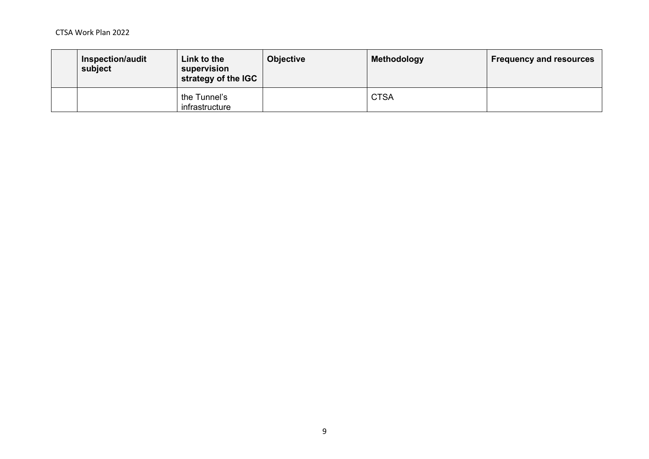| <b>Inspection/audit</b><br>subject | Link to the<br>supervision<br>strategy of the IGC | <b>Objective</b> | Methodology | <b>Frequency and resources</b> |
|------------------------------------|---------------------------------------------------|------------------|-------------|--------------------------------|
|                                    | the Tunnel's<br>infrastructure                    |                  | <b>CTSA</b> |                                |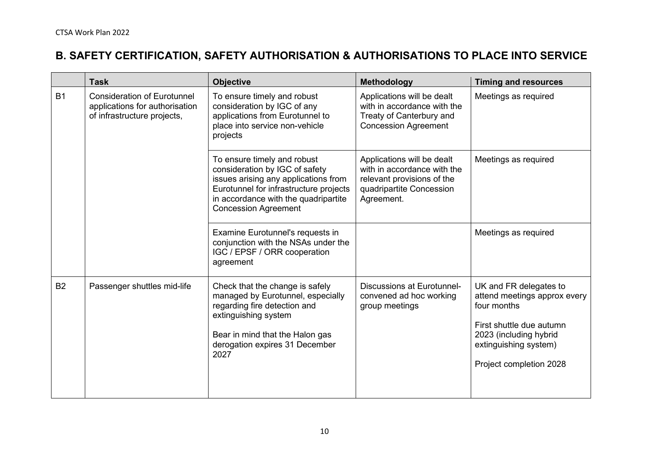# **B. SAFETY CERTIFICATION, SAFETY AUTHORISATION & AUTHORISATIONS TO PLACE INTO SERVICE**

|           | <b>Task</b>                                                                                         | <b>Objective</b>                                                                                                                                                                                                       | <b>Methodology</b>                                                                                                                | <b>Timing and resources</b>                                                                                                                                                     |
|-----------|-----------------------------------------------------------------------------------------------------|------------------------------------------------------------------------------------------------------------------------------------------------------------------------------------------------------------------------|-----------------------------------------------------------------------------------------------------------------------------------|---------------------------------------------------------------------------------------------------------------------------------------------------------------------------------|
| <b>B1</b> | <b>Consideration of Eurotunnel</b><br>applications for authorisation<br>of infrastructure projects, | To ensure timely and robust<br>consideration by IGC of any<br>applications from Eurotunnel to<br>place into service non-vehicle<br>projects                                                                            | Applications will be dealt<br>with in accordance with the<br>Treaty of Canterbury and<br><b>Concession Agreement</b>              | Meetings as required                                                                                                                                                            |
|           |                                                                                                     | To ensure timely and robust<br>consideration by IGC of safety<br>issues arising any applications from<br>Eurotunnel for infrastructure projects<br>in accordance with the quadripartite<br><b>Concession Agreement</b> | Applications will be dealt<br>with in accordance with the<br>relevant provisions of the<br>quadripartite Concession<br>Agreement. | Meetings as required                                                                                                                                                            |
|           |                                                                                                     | Examine Eurotunnel's requests in<br>conjunction with the NSAs under the<br>IGC / EPSF / ORR cooperation<br>agreement                                                                                                   |                                                                                                                                   | Meetings as required                                                                                                                                                            |
| <b>B2</b> | Passenger shuttles mid-life                                                                         | Check that the change is safely<br>managed by Eurotunnel, especially<br>regarding fire detection and<br>extinguishing system<br>Bear in mind that the Halon gas<br>derogation expires 31 December<br>2027              | <b>Discussions at Eurotunnel-</b><br>convened ad hoc working<br>group meetings                                                    | UK and FR delegates to<br>attend meetings approx every<br>four months<br>First shuttle due autumn<br>2023 (including hybrid<br>extinguishing system)<br>Project completion 2028 |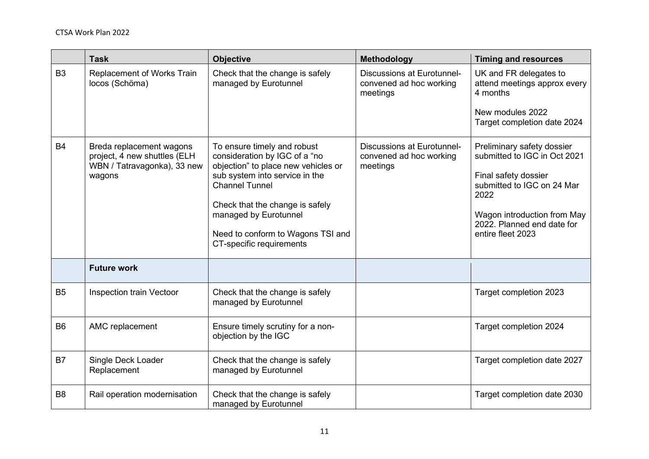|                | <b>Task</b>                                                                                       | <b>Objective</b>                                                                                                                                                                                                                                                                            | Methodology                                                              | <b>Timing and resources</b>                                                                                                                                                                                |
|----------------|---------------------------------------------------------------------------------------------------|---------------------------------------------------------------------------------------------------------------------------------------------------------------------------------------------------------------------------------------------------------------------------------------------|--------------------------------------------------------------------------|------------------------------------------------------------------------------------------------------------------------------------------------------------------------------------------------------------|
| B <sub>3</sub> | Replacement of Works Train<br>locos (Schöma)                                                      | Check that the change is safely<br>managed by Eurotunnel                                                                                                                                                                                                                                    | <b>Discussions at Eurotunnel-</b><br>convened ad hoc working<br>meetings | UK and FR delegates to<br>attend meetings approx every<br>4 months                                                                                                                                         |
|                |                                                                                                   |                                                                                                                                                                                                                                                                                             |                                                                          | New modules 2022<br>Target completion date 2024                                                                                                                                                            |
| <b>B4</b>      | Breda replacement wagons<br>project, 4 new shuttles (ELH<br>WBN / Tatravagonka), 33 new<br>wagons | To ensure timely and robust<br>consideration by IGC of a "no<br>objection" to place new vehicles or<br>sub system into service in the<br><b>Channel Tunnel</b><br>Check that the change is safely<br>managed by Eurotunnel<br>Need to conform to Wagons TSI and<br>CT-specific requirements | <b>Discussions at Eurotunnel-</b><br>convened ad hoc working<br>meetings | Preliminary safety dossier<br>submitted to IGC in Oct 2021<br>Final safety dossier<br>submitted to IGC on 24 Mar<br>2022<br>Wagon introduction from May<br>2022. Planned end date for<br>entire fleet 2023 |
|                | <b>Future work</b>                                                                                |                                                                                                                                                                                                                                                                                             |                                                                          |                                                                                                                                                                                                            |
| <b>B5</b>      | <b>Inspection train Vectoor</b>                                                                   | Check that the change is safely<br>managed by Eurotunnel                                                                                                                                                                                                                                    |                                                                          | Target completion 2023                                                                                                                                                                                     |
| B <sub>6</sub> | AMC replacement                                                                                   | Ensure timely scrutiny for a non-<br>objection by the IGC                                                                                                                                                                                                                                   |                                                                          | Target completion 2024                                                                                                                                                                                     |
| <b>B7</b>      | Single Deck Loader<br>Replacement                                                                 | Check that the change is safely<br>managed by Eurotunnel                                                                                                                                                                                                                                    |                                                                          | Target completion date 2027                                                                                                                                                                                |
| B <sub>8</sub> | Rail operation modernisation                                                                      | Check that the change is safely<br>managed by Eurotunnel                                                                                                                                                                                                                                    |                                                                          | Target completion date 2030                                                                                                                                                                                |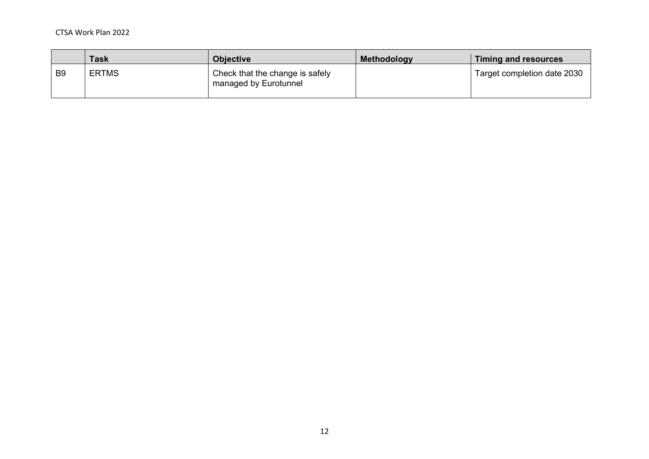#### CTSA Work Plan 2022

|                | <b>Task</b>  | <b>Objective</b>                                         | Methodology | Timing and resources        |
|----------------|--------------|----------------------------------------------------------|-------------|-----------------------------|
| B <sub>9</sub> | <b>ERTMS</b> | Check that the change is safely<br>managed by Eurotunnel |             | Target completion date 2030 |